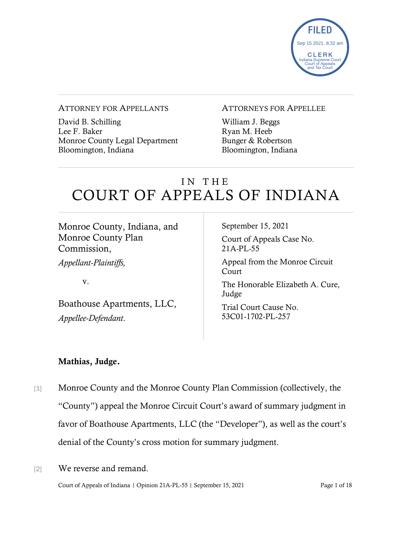

#### ATTORNEY FOR APPELLANTS

David B. Schilling Lee F. Baker Monroe County Legal Department Bloomington, Indiana

#### ATTORNEYS FOR APPELLEE

William J. Beggs Ryan M. Heeb Bunger & Robertson Bloomington, Indiana

# IN THE COURT OF APPEALS OF INDIANA

Monroe County, Indiana, and Monroe County Plan Commission,

*Appellant-Plaintiffs,*

v.

Boathouse Apartments, LLC, *Appellee-Defendant*.

September 15, 2021

Court of Appeals Case No. 21A-PL-55

Appeal from the Monroe Circuit Court

The Honorable Elizabeth A. Cure, Judge

Trial Court Cause No. 53C01-1702-PL-257

#### Mathias, Judge.

- [1] Monroe County and the Monroe County Plan Commission (collectively, the "County") appeal the Monroe Circuit Court's award of summary judgment in favor of Boathouse Apartments, LLC (the "Developer"), as well as the court's denial of the County's cross motion for summary judgment.
- [2] We reverse and remand.

Court of Appeals of Indiana | Opinion 21A-PL-55 | September 15, 2021 Page 1 of 18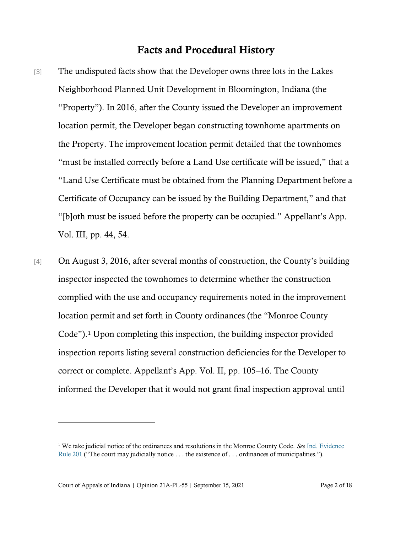#### Facts and Procedural History

- [3] The undisputed facts show that the Developer owns three lots in the Lakes Neighborhood Planned Unit Development in Bloomington, Indiana (the "Property"). In 2016, after the County issued the Developer an improvement location permit, the Developer began constructing townhome apartments on the Property. The improvement location permit detailed that the townhomes "must be installed correctly before a Land Use certificate will be issued," that a "Land Use Certificate must be obtained from the Planning Department before a Certificate of Occupancy can be issued by the Building Department," and that "[b]oth must be issued before the property can be occupied." Appellant's App. Vol. III, pp. 44, 54.
- [4] On August 3, 2016, after several months of construction, the County's building inspector inspected the townhomes to determine whether the construction complied with the use and occupancy requirements noted in the improvement location permit and set forth in County ordinances (the "Monroe County Code").<sup>1</sup> Upon completing this inspection, the building inspector provided inspection reports listing several construction deficiencies for the Developer to correct or complete. Appellant's App. Vol. II, pp. 105–16. The County informed the Developer that it would not grant final inspection approval until

Court of Appeals of Indiana | Opinion 21A-PL-55 | September 15, 2021 Page 2 of 18

<sup>1</sup> We take judicial notice of the ordinances and resolutions in the Monroe County Code. *See* [Ind. Evidence](https://www.westlaw.com/Document/N4B2F4400AC5511DE97CFC30D94C59A9E/View/FullText.html?transitionType=Default&contextData=(sc.Default)&VR=3.0&RS=da3.0)  [Rule 201](https://www.westlaw.com/Document/N4B2F4400AC5511DE97CFC30D94C59A9E/View/FullText.html?transitionType=Default&contextData=(sc.Default)&VR=3.0&RS=da3.0) ("The court may judicially notice . . . the existence of . . . ordinances of municipalities.").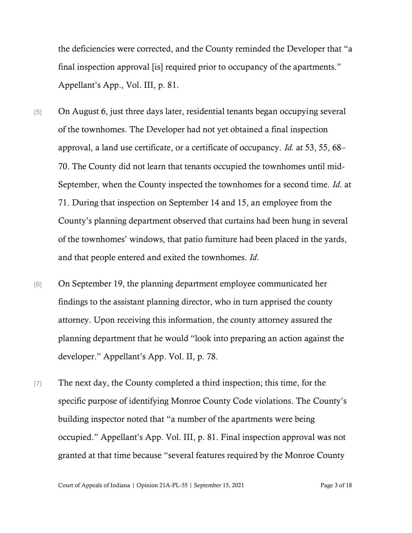the deficiencies were corrected, and the County reminded the Developer that "a final inspection approval [is] required prior to occupancy of the apartments." Appellant's App., Vol. III, p. 81.

- [5] On August 6, just three days later, residential tenants began occupying several of the townhomes. The Developer had not yet obtained a final inspection approval, a land use certificate, or a certificate of occupancy. *Id.* at 53, 55, 68– 70. The County did not learn that tenants occupied the townhomes until mid-September, when the County inspected the townhomes for a second time. *Id*. at 71. During that inspection on September 14 and 15, an employee from the County's planning department observed that curtains had been hung in several of the townhomes' windows, that patio furniture had been placed in the yards, and that people entered and exited the townhomes. *Id*.
- [6] On September 19, the planning department employee communicated her findings to the assistant planning director, who in turn apprised the county attorney. Upon receiving this information, the county attorney assured the planning department that he would "look into preparing an action against the developer." Appellant's App. Vol. II, p. 78.
- [7] The next day, the County completed a third inspection; this time, for the specific purpose of identifying Monroe County Code violations. The County's building inspector noted that "a number of the apartments were being occupied." Appellant's App. Vol. III, p. 81. Final inspection approval was not granted at that time because "several features required by the Monroe County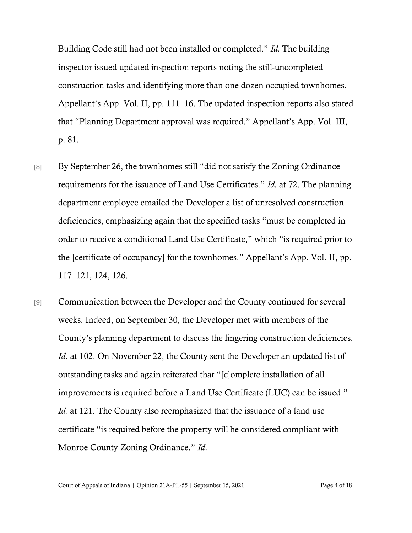Building Code still had not been installed or completed." *Id.* The building inspector issued updated inspection reports noting the still-uncompleted construction tasks and identifying more than one dozen occupied townhomes. Appellant's App. Vol. II, pp. 111–16. The updated inspection reports also stated that "Planning Department approval was required." Appellant's App. Vol. III, p. 81.

- [8] By September 26, the townhomes still "did not satisfy the Zoning Ordinance requirements for the issuance of Land Use Certificates." *Id.* at 72. The planning department employee emailed the Developer a list of unresolved construction deficiencies, emphasizing again that the specified tasks "must be completed in order to receive a conditional Land Use Certificate," which "is required prior to the [certificate of occupancy] for the townhomes." Appellant's App. Vol. II, pp. 117–121, 124, 126.
- [9] Communication between the Developer and the County continued for several weeks. Indeed, on September 30, the Developer met with members of the County's planning department to discuss the lingering construction deficiencies. *Id.* at 102. On November 22, the County sent the Developer an updated list of outstanding tasks and again reiterated that "[c]omplete installation of all improvements is required before a Land Use Certificate (LUC) can be issued." *Id.* at 121. The County also reemphasized that the issuance of a land use certificate "is required before the property will be considered compliant with Monroe County Zoning Ordinance." *Id*.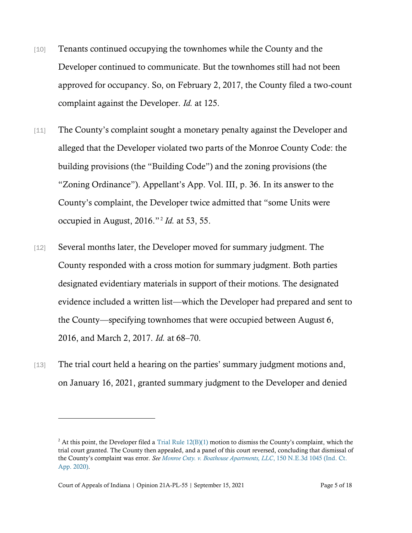- [10] Tenants continued occupying the townhomes while the County and the Developer continued to communicate. But the townhomes still had not been approved for occupancy. So, on February 2, 2017, the County filed a two-count complaint against the Developer. *Id.* at 125.
- [11] The County's complaint sought a monetary penalty against the Developer and alleged that the Developer violated two parts of the Monroe County Code: the building provisions (the "Building Code") and the zoning provisions (the "Zoning Ordinance"). Appellant's App. Vol. III, p. 36. In its answer to the County's complaint, the Developer twice admitted that "some Units were occupied in August, 2016." <sup>2</sup> *Id.* at 53, 55.
- [12] Several months later, the Developer moved for summary judgment. The County responded with a cross motion for summary judgment. Both parties designated evidentiary materials in support of their motions. The designated evidence included a written list—which the Developer had prepared and sent to the County—specifying townhomes that were occupied between August 6, 2016, and March 2, 2017. *Id.* at 68–70.
- [13] The trial court held a hearing on the parties' summary judgment motions and, on January 16, 2021, granted summary judgment to the Developer and denied

<sup>&</sup>lt;sup>2</sup> At this point, the Developer filed a Trial Rule  $12(B)(1)$  motion to dismiss the County's complaint, which the trial court granted. The County then appealed, and a panel of this court reversed, concluding that dismissal of the County's complaint was error. *See [Monroe Cnty. v. Boathouse Apartments, LLC](https://www.westlaw.com/Document/I8bf900b0b02d11ea8406df7959f232f7/View/FullText.html?transitionType=Default&contextData=(sc.Default)&VR=3.0&RS=da3.0)*[, 150 N.E.3d 1045 \(Ind. Ct.](https://www.westlaw.com/Document/I8bf900b0b02d11ea8406df7959f232f7/View/FullText.html?transitionType=Default&contextData=(sc.Default)&VR=3.0&RS=da3.0)  [App. 2020\).](https://www.westlaw.com/Document/I8bf900b0b02d11ea8406df7959f232f7/View/FullText.html?transitionType=Default&contextData=(sc.Default)&VR=3.0&RS=da3.0)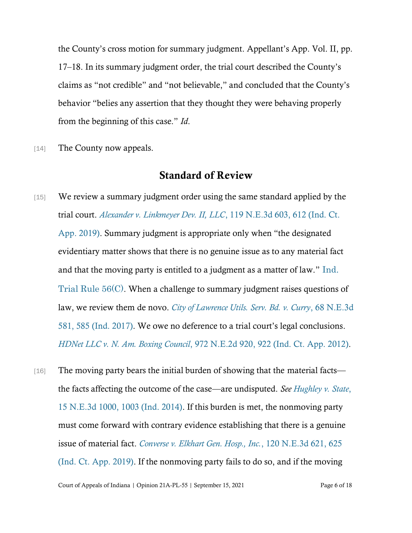the County's cross motion for summary judgment. Appellant's App. Vol. II, pp. 17–18. In its summary judgment order, the trial court described the County's claims as "not credible" and "not believable," and concluded that the County's behavior "belies any assertion that they thought they were behaving properly from the beginning of this case." *Id*.

[14] The County now appeals.

### Standard of Review

- [15] We review a summary judgment order using the same standard applied by the trial court. *[Alexander v. Linkmeyer Dev. II, LLC](https://www.westlaw.com/Document/I31eae9002be311e98335c7ebe72735f9/View/FullText.html?transitionType=Default&contextData=(sc.Default)&VR=3.0&RS=da3.0&fragmentIdentifier=co_pp_sp_7902_612)*, 119 N[.E.3d 603, 612 \(Ind. Ct.](https://www.westlaw.com/Document/I31eae9002be311e98335c7ebe72735f9/View/FullText.html?transitionType=Default&contextData=(sc.Default)&VR=3.0&RS=da3.0&fragmentIdentifier=co_pp_sp_7902_612)  [App. 2019\)](https://www.westlaw.com/Document/I31eae9002be311e98335c7ebe72735f9/View/FullText.html?transitionType=Default&contextData=(sc.Default)&VR=3.0&RS=da3.0&fragmentIdentifier=co_pp_sp_7902_612). Summary judgment is appropriate only when "the designated evidentiary matter shows that there is no genuine issue as to any material fact and that the moving party is entitled to a judgment as a matter of law." [Ind.](https://www.westlaw.com/Document/NBA06E48071B711DCA094A00E6229ED4E/View/FullText.html?transitionType=Default&contextData=(sc.Default)&VR=3.0&RS=da3.0)  [Trial Rule 56\(C\)](https://www.westlaw.com/Document/NBA06E48071B711DCA094A00E6229ED4E/View/FullText.html?transitionType=Default&contextData=(sc.Default)&VR=3.0&RS=da3.0). When a challenge to summary judgment raises questions of law, we review them de novo. *[City of Lawrence Utils. Serv. Bd. v. Curry](https://1.next.westlaw.com/Document/Iff8a0060ef3811e69a9296e6a6f4a986/View/FullText.html?transitionType=UniqueDocItem&contextData=(sc.QASearch)&userEnteredCitation=68+N.E.3d+581)*, 68 N.E.[3d](https://1.next.westlaw.com/Document/Iff8a0060ef3811e69a9296e6a6f4a986/View/FullText.html?transitionType=UniqueDocItem&contextData=(sc.QASearch)&userEnteredCitation=68+N.E.3d+581)  [581, 585 \(Ind. 2017\).](https://1.next.westlaw.com/Document/Iff8a0060ef3811e69a9296e6a6f4a986/View/FullText.html?transitionType=UniqueDocItem&contextData=(sc.QASearch)&userEnteredCitation=68+N.E.3d+581) We owe no deference to a trial court's legal conclusions. *[HDNet LLC v. N. Am. Boxing Council](https://1.next.westlaw.com/Link/Document/FullText?findType=Y&serNum=2028389431&pubNum=0000578&originatingDoc=I8a282f384fae11e49488c8f438320c70&refType=RP&originationContext=document&transitionType=DocumentItem&ppcid=0fea28bed02f4728b89164844307781b&contextData=(sc.DocLink)#co_pp_sp_578_922)*, 972 N.E.2d 92[0, 922 \(Ind. Ct. App. 2012\).](https://1.next.westlaw.com/Link/Document/FullText?findType=Y&serNum=2028389431&pubNum=0000578&originatingDoc=I8a282f384fae11e49488c8f438320c70&refType=RP&originationContext=document&transitionType=DocumentItem&ppcid=0fea28bed02f4728b89164844307781b&contextData=(sc.DocLink)#co_pp_sp_578_922)
- [16] The moving party bears the initial burden of showing that the material facts the facts affecting the outcome of the case—are undisputed. *See [Hughley v. State](https://www.westlaw.com/Document/Ie935ccc1389f11e4b86bd602cb8781fa/View/FullText.html?transitionType=Default&contextData=(sc.Default)&VR=3.0&RS=da3.0&fragmentIdentifier=co_pp_sp_7902_1003)*[,](https://www.westlaw.com/Document/Ie935ccc1389f11e4b86bd602cb8781fa/View/FullText.html?transitionType=Default&contextData=(sc.Default)&VR=3.0&RS=da3.0&fragmentIdentifier=co_pp_sp_7902_1003)  [15 N.E.3d 1000, 1003 \(Ind. 2014\).](https://www.westlaw.com/Document/Ie935ccc1389f11e4b86bd602cb8781fa/View/FullText.html?transitionType=Default&contextData=(sc.Default)&VR=3.0&RS=da3.0&fragmentIdentifier=co_pp_sp_7902_1003) If this burden is met, the nonmoving party must come forward with contrary evidence establishing that there is a genuine issue of material fact. *[Converse v. Elkhart Gen. Hosp., Inc.](https://www.westlaw.com/Document/I48972f4041e311e9bed9c2929f452c46/View/FullText.html?transitionType=Default&contextData=(sc.Default)&VR=3.0&RS=da3.0&fragmentIdentifier=co_pp_sp_7902_625)*[, 120 N.E.3d 621, 625](https://www.westlaw.com/Document/I48972f4041e311e9bed9c2929f452c46/View/FullText.html?transitionType=Default&contextData=(sc.Default)&VR=3.0&RS=da3.0&fragmentIdentifier=co_pp_sp_7902_625)  [\(Ind. Ct. App. 2019\).](https://www.westlaw.com/Document/I48972f4041e311e9bed9c2929f452c46/View/FullText.html?transitionType=Default&contextData=(sc.Default)&VR=3.0&RS=da3.0&fragmentIdentifier=co_pp_sp_7902_625) If the nonmoving party fails to do so, and if the moving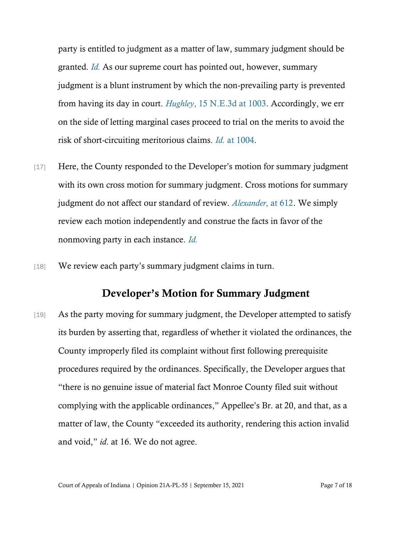party is entitled to judgment as a matter of law, summary judgment should be granted. *[Id.](https://www.westlaw.com/Document/I48972f4041e311e9bed9c2929f452c46/View/FullText.html?transitionType=Default&contextData=(sc.Default)&VR=3.0&RS=da3.0)* As our supreme court has pointed out, however, summary judgment is a blunt instrument by which the non-prevailing party is prevented from having its day in court. *[Hughley](https://www.westlaw.com/Document/Ie935ccc1389f11e4b86bd602cb8781fa/View/FullText.html?transitionType=Default&contextData=(sc.Default)&VR=3.0&RS=da3.0&fragmentIdentifier=co_pp_sp_7902_1003)*[, 15 N.E.3d at 1003.](https://www.westlaw.com/Document/Ie935ccc1389f11e4b86bd602cb8781fa/View/FullText.html?transitionType=Default&contextData=(sc.Default)&VR=3.0&RS=da3.0&fragmentIdentifier=co_pp_sp_7902_1003) Accordingly, we err on the side of letting marginal cases proceed to trial on the merits to avoid the risk of short-circuiting meritorious claims. *[Id.](https://www.westlaw.com/Document/Ie935ccc1389f11e4b86bd602cb8781fa/View/FullText.html?transitionType=Default&contextData=(sc.Default)&VR=3.0&RS=da3.0&fragmentIdentifier=co_pp_sp_7902_1004)* [at 1004.](https://www.westlaw.com/Document/Ie935ccc1389f11e4b86bd602cb8781fa/View/FullText.html?transitionType=Default&contextData=(sc.Default)&VR=3.0&RS=da3.0&fragmentIdentifier=co_pp_sp_7902_1004)

- [17] Here, the County responded to the Developer's motion for summary judgment with its own cross motion for summary judgment. Cross motions for summary judgment do not affect our standard of review. *[Alexander](https://www.westlaw.com/Document/I31eae9002be311e98335c7ebe72735f9/View/FullText.html?transitionType=Default&contextData=(sc.Default)&VR=3.0&RS=da3.0)*[, at 612.](https://www.westlaw.com/Document/I31eae9002be311e98335c7ebe72735f9/View/FullText.html?transitionType=Default&contextData=(sc.Default)&VR=3.0&RS=da3.0) We simply review each motion independently and construe the facts in favor of the nonmoving party in each instance. *[Id.](https://www.westlaw.com/Document/I31eae9002be311e98335c7ebe72735f9/View/FullText.html?transitionType=Default&contextData=(sc.Default)&VR=3.0&RS=cblt1.0)*
- [18] We review each party's summary judgment claims in turn.

### Developer's Motion for Summary Judgment

[19] As the party moving for summary judgment, the Developer attempted to satisfy its burden by asserting that, regardless of whether it violated the ordinances, the County improperly filed its complaint without first following prerequisite procedures required by the ordinances. Specifically, the Developer argues that "there is no genuine issue of material fact Monroe County filed suit without complying with the applicable ordinances," Appellee's Br. at 20, and that, as a matter of law, the County "exceeded its authority, rendering this action invalid and void," *id*. at 16. We do not agree.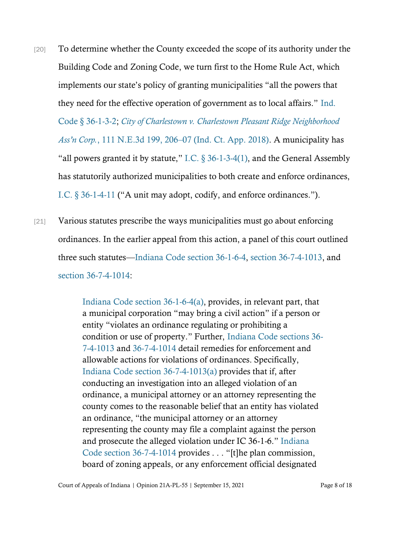- [20] To determine whether the County exceeded the scope of its authority under the Building Code and Zoning Code, we turn first to the Home Rule Act, which implements our state's policy of granting municipalities "all the powers that they need for the effective operation of government as to local affairs." [Ind.](https://www.westlaw.com/Document/N8FFC75A0817711DB8132CD13D2280436/View/FullText.html?transitionType=Default&contextData=(sc.Default)&VR=3.0&RS=da3.0)  Code § [36-1-3-2;](https://www.westlaw.com/Document/N8FFC75A0817711DB8132CD13D2280436/View/FullText.html?transitionType=Default&contextData=(sc.Default)&VR=3.0&RS=da3.0) *[City of Charlestown v. Charlestown Pleasant Ridge Neighborhood](https://www.westlaw.com/Document/Id7303030b52f11e89a72e3efe6364bb2/View/FullText.html?transitionType=Default&contextData=(sc.Default)&VR=3.0&RS=da3.0&fragmentIdentifier=co_pp_sp_7902_206)  Ass'n Corp.*[, 111 N.E.3d 199, 206](https://www.westlaw.com/Document/Id7303030b52f11e89a72e3efe6364bb2/View/FullText.html?transitionType=Default&contextData=(sc.Default)&VR=3.0&RS=da3.0&fragmentIdentifier=co_pp_sp_7902_206)–[07 \(Ind. Ct. App. 2018\).](https://www.westlaw.com/Document/Id7303030b52f11e89a72e3efe6364bb2/View/FullText.html?transitionType=Default&contextData=(sc.Default)&VR=3.0&RS=da3.0&fragmentIdentifier=co_pp_sp_7902_206) A municipality has "all powers granted it by statute," I.C.  $\S 36$ -1-3-4(1), and the General Assembly has statutorily authorized municipalities to both create and enforce ordinances, [I.C. § 36](https://www.westlaw.com/Document/NAD32A3B0817711DB8132CD13D2280436/View/FullText.html?transitionType=Default&contextData=(sc.Default)&VR=3.0&RS=cblt1.0)-1-4-11 ("A unit may adopt, codify, and enforce ordinances.").
- [21] Various statutes prescribe the ways municipalities must go about enforcing ordinances. In the earlier appeal from this action, a panel of this court outlined three such statutes—[Indiana Code section 36-1-6-4,](https://www.westlaw.com/Document/N47B6D1E03FF311DE9A3AA540F580B7CB/View/FullText.html?transitionType=Default&contextData=(sc.Default)&VR=3.0&RS=cblt1.0) [section 36-7-4-1013,](https://www.westlaw.com/Document/NF5F970B085CD11E0BB5BF63781FF1E8F/View/FullText.html?transitionType=Default&contextData=(sc.Default)&VR=3.0&RS=cblt1.0) and [section 36-7-4-1014:](https://www.westlaw.com/Document/NECF73A1085CD11E0B891FB2C20D93470/View/FullText.html?transitionType=Default&contextData=(sc.Default)&VR=3.0&RS=cblt1.0)

[Indiana Code section 36-1-6-4\(](https://www.westlaw.com/Document/N47B6D1E03FF311DE9A3AA540F580B7CB/View/FullText.html?transitionType=Default&contextData=(sc.Default)&VR=3.0&RS=da3.0)a), provides, in relevant part, that a municipal corporation "may bring a civil action" if a person or entity "violates an ordinance regulating or prohibiting a condition or use of property." Further, [Indiana Code sections 36-](https://www.westlaw.com/Document/NF5F970B085CD11E0BB5BF63781FF1E8F/View/FullText.html?transitionType=Default&contextData=(sc.Default)&VR=3.0&RS=cblt1.0) [7-4-1013](https://www.westlaw.com/Document/NF5F970B085CD11E0BB5BF63781FF1E8F/View/FullText.html?transitionType=Default&contextData=(sc.Default)&VR=3.0&RS=cblt1.0) and [36-7-4-1014](https://www.westlaw.com/Document/NECF73A1085CD11E0B891FB2C20D93470/View/FullText.html?transitionType=Default&contextData=(sc.Default)&VR=3.0&RS=cblt1.0) detail remedies for enforcement and allowable actions for violations of ordinances. Specifically, [Indiana Code section 36-7-4-1013\(a\)](https://www.westlaw.com/Document/NF5F970B085CD11E0BB5BF63781FF1E8F/View/FullText.html?transitionType=Default&contextData=(sc.Default)&VR=3.0&RS=da3.0) provides that if, after conducting an investigation into an alleged violation of an ordinance, a municipal attorney or an attorney representing the county comes to the reasonable belief that an entity has violated an ordinance, "the municipal attorney or an attorney representing the county may file a complaint against the person and prosecute the alleged violation under IC 36-1-6." [Indiana](https://www.westlaw.com/Document/NECF73A1085CD11E0B891FB2C20D93470/View/FullText.html?transitionType=Default&contextData=(sc.Default)&VR=3.0&RS=da3.0)  [Code section 36-7-4-1014](https://www.westlaw.com/Document/NECF73A1085CD11E0B891FB2C20D93470/View/FullText.html?transitionType=Default&contextData=(sc.Default)&VR=3.0&RS=da3.0) provides . . . "[t]he plan commission, board of zoning appeals, or any enforcement official designated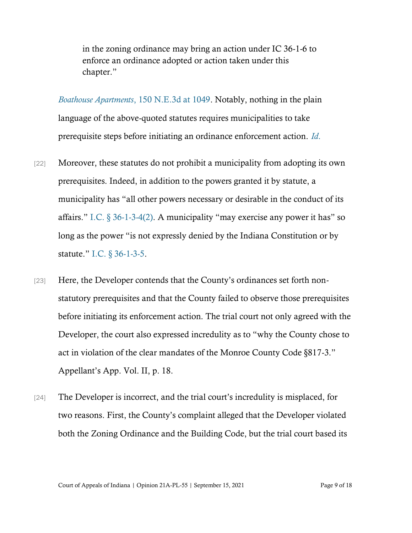in the zoning ordinance may bring an action under IC 36-1-6 to enforce an ordinance adopted or action taken under this chapter."

*[Boathouse Apartments](https://www.westlaw.com/Document/I8bf900b0b02d11ea8406df7959f232f7/View/FullText.html?transitionType=Default&contextData=(sc.Default)&VR=3.0&RS=da3.0&fragmentIdentifier=co_pp_sp_7902_1049)*[, 150 N.E.3d at 1049.](https://www.westlaw.com/Document/I8bf900b0b02d11ea8406df7959f232f7/View/FullText.html?transitionType=Default&contextData=(sc.Default)&VR=3.0&RS=da3.0&fragmentIdentifier=co_pp_sp_7902_1049) Notably, nothing in the plain language of the above-quoted statutes requires municipalities to take prerequisite steps before initiating an ordinance enforcement action. *[Id](https://www.westlaw.com/Document/I8bf900b0b02d11ea8406df7959f232f7/View/FullText.html?transitionType=Default&contextData=(sc.Default)&VR=3.0&RS=da3.0)*[.](https://www.westlaw.com/Document/I8bf900b0b02d11ea8406df7959f232f7/View/FullText.html?transitionType=Default&contextData=(sc.Default)&VR=3.0&RS=da3.0)

- [22] Moreover, these statutes do not prohibit a municipality from adopting its own prerequisites. Indeed, in addition to the powers granted it by statute, a municipality has "all other powers necessary or desirable in the conduct of its affairs." I.C.  $\S 36$ -1-3-4(2). A municipality "may exercise any power it has" so long as the power "is not expressly denied by the Indiana Constitution or by statute." [I.C. § 36](https://www.westlaw.com/Document/N945FF6D0817711DB8132CD13D2280436/View/FullText.html?transitionType=Default&contextData=(sc.Default)&VR=3.0&RS=cblt1.0)-1-3-5.
- [23] Here, the Developer contends that the County's ordinances set forth nonstatutory prerequisites and that the County failed to observe those prerequisites before initiating its enforcement action. The trial court not only agreed with the Developer, the court also expressed incredulity as to "why the County chose to act in violation of the clear mandates of the Monroe County Code §817-3." Appellant's App. Vol. II, p. 18.
- [24] The Developer is incorrect, and the trial court's incredulity is misplaced, for two reasons. First, the County's complaint alleged that the Developer violated both the Zoning Ordinance and the Building Code, but the trial court based its

Court of Appeals of Indiana | Opinion 21A-PL-55 | September 15, 2021 Page 9 of 18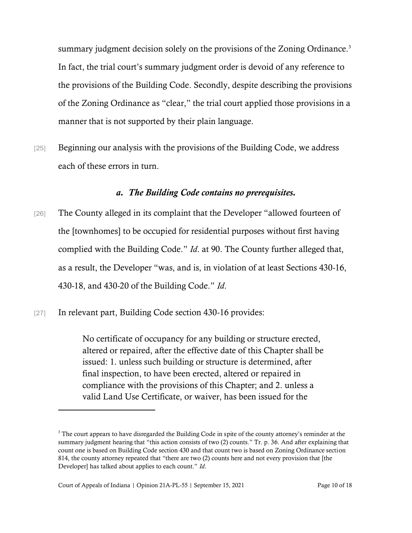summary judgment decision solely on the provisions of the Zoning Ordinance.<sup>3</sup> In fact, the trial court's summary judgment order is devoid of any reference to the provisions of the Building Code. Secondly, despite describing the provisions of the Zoning Ordinance as "clear," the trial court applied those provisions in a manner that is not supported by their plain language.

[25] Beginning our analysis with the provisions of the Building Code, we address each of these errors in turn.

#### *a. The Building Code contains no prerequisites.*

- [26] The County alleged in its complaint that the Developer "allowed fourteen of the [townhomes] to be occupied for residential purposes without first having complied with the Building Code." *Id*. at 90. The County further alleged that, as a result, the Developer "was, and is, in violation of at least Sections 430-16, 430-18, and 430-20 of the Building Code." *Id*.
- [27] In relevant part, Building Code section 430-16 provides:

No certificate of occupancy for any building or structure erected, altered or repaired, after the effective date of this Chapter shall be issued: 1. unless such building or structure is determined, after final inspection, to have been erected, altered or repaired in compliance with the provisions of this Chapter; and 2. unless a valid Land Use Certificate, or waiver, has been issued for the

<sup>&</sup>lt;sup>3</sup> The court appears to have disregarded the Building Code in spite of the county attorney's reminder at the summary judgment hearing that "this action consists of two (2) counts." Tr. p. 36. And after explaining that count one is based on Building Code section 430 and that count two is based on Zoning Ordinance section 814, the county attorney repeated that "there are two (2) counts here and not every provision that [the Developer] has talked about applies to each count." *Id*.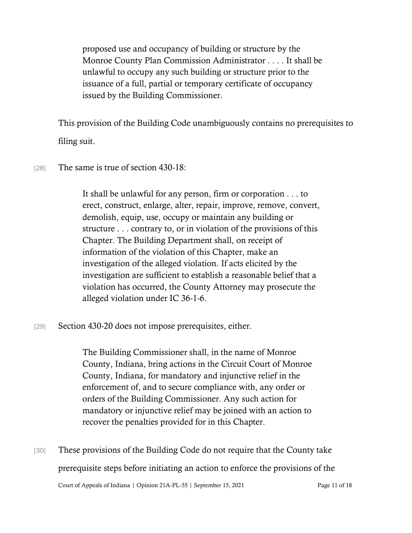proposed use and occupancy of building or structure by the Monroe County Plan Commission Administrator . . . . It shall be unlawful to occupy any such building or structure prior to the issuance of a full, partial or temporary certificate of occupancy issued by the Building Commissioner.

This provision of the Building Code unambiguously contains no prerequisites to filing suit.

 $[28]$  The same is true of section 430-18:

It shall be unlawful for any person, firm or corporation . . . to erect, construct, enlarge, alter, repair, improve, remove, convert, demolish, equip, use, occupy or maintain any building or structure . . . contrary to, or in violation of the provisions of this Chapter. The Building Department shall, on receipt of information of the violation of this Chapter, make an investigation of the alleged violation. If acts elicited by the investigation are sufficient to establish a reasonable belief that a violation has occurred, the County Attorney may prosecute the alleged violation under IC 36-1-6.

[29] Section 430-20 does not impose prerequisites, either.

The Building Commissioner shall, in the name of Monroe County, Indiana, bring actions in the Circuit Court of Monroe County, Indiana, for mandatory and injunctive relief in the enforcement of, and to secure compliance with, any order or orders of the Building Commissioner. Any such action for mandatory or injunctive relief may be joined with an action to recover the penalties provided for in this Chapter.

Court of Appeals of Indiana | Opinion 21A-PL-55 | September 15, 2021 Page 11 of 18 [30] These provisions of the Building Code do not require that the County take prerequisite steps before initiating an action to enforce the provisions of the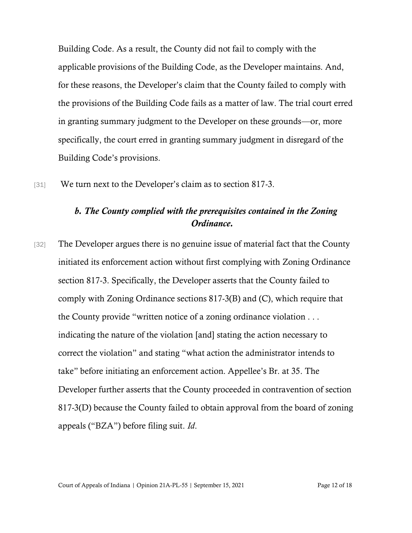Building Code. As a result, the County did not fail to comply with the applicable provisions of the Building Code, as the Developer maintains. And, for these reasons, the Developer's claim that the County failed to comply with the provisions of the Building Code fails as a matter of law. The trial court erred in granting summary judgment to the Developer on these grounds—or, more specifically, the court erred in granting summary judgment in disregard of the Building Code's provisions.

[31] We turn next to the Developer's claim as to section 817-3.

## *b. The County complied with the prerequisites contained in the Zoning Ordinance.*

[32] The Developer argues there is no genuine issue of material fact that the County initiated its enforcement action without first complying with Zoning Ordinance section 817-3. Specifically, the Developer asserts that the County failed to comply with Zoning Ordinance sections 817-3(B) and (C), which require that the County provide "written notice of a zoning ordinance violation . . . indicating the nature of the violation [and] stating the action necessary to correct the violation" and stating "what action the administrator intends to take" before initiating an enforcement action. Appellee's Br. at 35. The Developer further asserts that the County proceeded in contravention of section 817-3(D) because the County failed to obtain approval from the board of zoning appeals ("BZA") before filing suit. *Id*.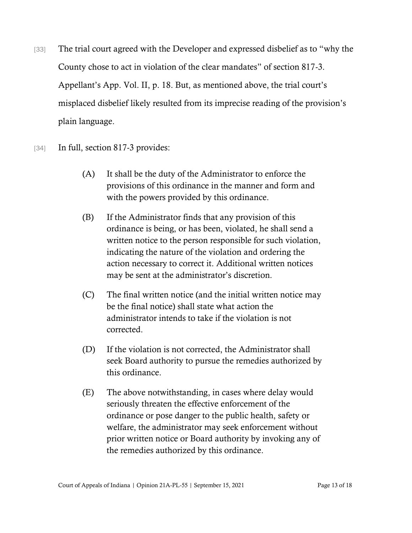- [33] The trial court agreed with the Developer and expressed disbelief as to "why the County chose to act in violation of the clear mandates" of section 817-3. Appellant's App. Vol. II, p. 18. But, as mentioned above, the trial court's misplaced disbelief likely resulted from its imprecise reading of the provision's plain language.
- [34] In full, section 817-3 provides:
	- (A) It shall be the duty of the Administrator to enforce the provisions of this ordinance in the manner and form and with the powers provided by this ordinance.
	- (B) If the Administrator finds that any provision of this ordinance is being, or has been, violated, he shall send a written notice to the person responsible for such violation, indicating the nature of the violation and ordering the action necessary to correct it. Additional written notices may be sent at the administrator's discretion.
	- (C) The final written notice (and the initial written notice may be the final notice) shall state what action the administrator intends to take if the violation is not corrected.
	- (D) If the violation is not corrected, the Administrator shall seek Board authority to pursue the remedies authorized by this ordinance.
	- (E) The above notwithstanding, in cases where delay would seriously threaten the effective enforcement of the ordinance or pose danger to the public health, safety or welfare, the administrator may seek enforcement without prior written notice or Board authority by invoking any of the remedies authorized by this ordinance.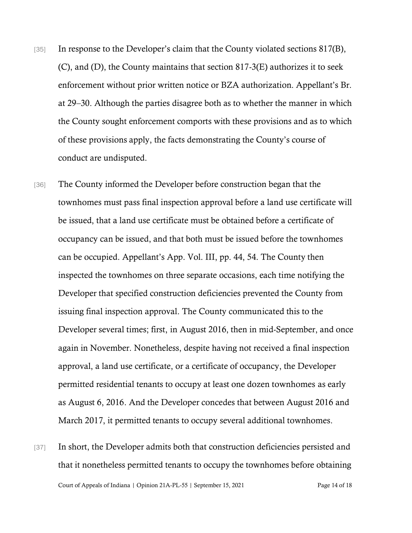- [35] In response to the Developer's claim that the County violated sections 817(B), (C), and (D), the County maintains that section 817-3(E) authorizes it to seek enforcement without prior written notice or BZA authorization. Appellant's Br. at 29–30. Although the parties disagree both as to whether the manner in which the County sought enforcement comports with these provisions and as to which of these provisions apply, the facts demonstrating the County's course of conduct are undisputed.
- [36] The County informed the Developer before construction began that the townhomes must pass final inspection approval before a land use certificate will be issued, that a land use certificate must be obtained before a certificate of occupancy can be issued, and that both must be issued before the townhomes can be occupied. Appellant's App. Vol. III, pp. 44, 54. The County then inspected the townhomes on three separate occasions, each time notifying the Developer that specified construction deficiencies prevented the County from issuing final inspection approval. The County communicated this to the Developer several times; first, in August 2016, then in mid-September, and once again in November. Nonetheless, despite having not received a final inspection approval, a land use certificate, or a certificate of occupancy, the Developer permitted residential tenants to occupy at least one dozen townhomes as early as August 6, 2016. And the Developer concedes that between August 2016 and March 2017, it permitted tenants to occupy several additional townhomes.
- Court of Appeals of Indiana | Opinion 21A-PL-55 | September 15, 2021 Page 14 of 18 [37] In short, the Developer admits both that construction deficiencies persisted and that it nonetheless permitted tenants to occupy the townhomes before obtaining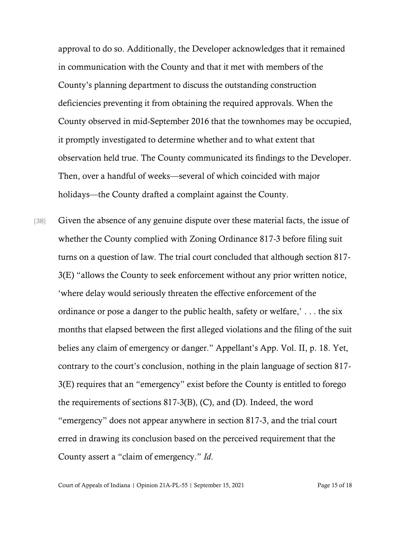approval to do so. Additionally, the Developer acknowledges that it remained in communication with the County and that it met with members of the County's planning department to discuss the outstanding construction deficiencies preventing it from obtaining the required approvals. When the County observed in mid-September 2016 that the townhomes may be occupied, it promptly investigated to determine whether and to what extent that observation held true. The County communicated its findings to the Developer. Then, over a handful of weeks—several of which coincided with major holidays—the County drafted a complaint against the County.

[38] Given the absence of any genuine dispute over these material facts, the issue of whether the County complied with Zoning Ordinance 817-3 before filing suit turns on a question of law. The trial court concluded that although section 817- 3(E) "allows the County to seek enforcement without any prior written notice, 'where delay would seriously threaten the effective enforcement of the ordinance or pose a danger to the public health, safety or welfare,' . . . the six months that elapsed between the first alleged violations and the filing of the suit belies any claim of emergency or danger." Appellant's App. Vol. II, p. 18. Yet, contrary to the court's conclusion, nothing in the plain language of section 817- 3(E) requires that an "emergency" exist before the County is entitled to forego the requirements of sections 817-3(B), (C), and (D). Indeed, the word "emergency" does not appear anywhere in section 817-3, and the trial court erred in drawing its conclusion based on the perceived requirement that the County assert a "claim of emergency." *Id*.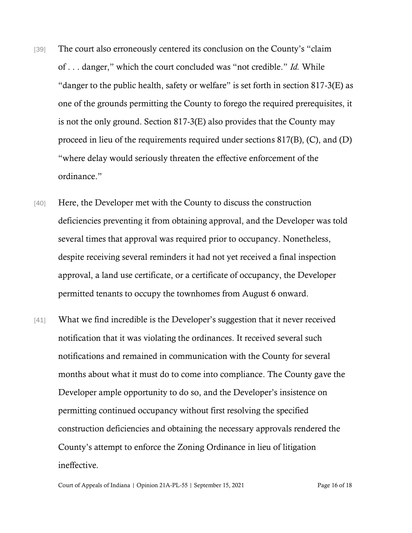- [39] The court also erroneously centered its conclusion on the County's "claim" of . . . danger," which the court concluded was "not credible." *Id.* While "danger to the public health, safety or welfare" is set forth in section 817-3(E) as one of the grounds permitting the County to forego the required prerequisites, it is not the only ground. Section 817-3(E) also provides that the County may proceed in lieu of the requirements required under sections 817(B), (C), and (D) "where delay would seriously threaten the effective enforcement of the ordinance."
- [40] Here, the Developer met with the County to discuss the construction deficiencies preventing it from obtaining approval, and the Developer was told several times that approval was required prior to occupancy. Nonetheless, despite receiving several reminders it had not yet received a final inspection approval, a land use certificate, or a certificate of occupancy, the Developer permitted tenants to occupy the townhomes from August 6 onward.
- [41] What we find incredible is the Developer's suggestion that it never received notification that it was violating the ordinances. It received several such notifications and remained in communication with the County for several months about what it must do to come into compliance. The County gave the Developer ample opportunity to do so, and the Developer's insistence on permitting continued occupancy without first resolving the specified construction deficiencies and obtaining the necessary approvals rendered the County's attempt to enforce the Zoning Ordinance in lieu of litigation ineffective.

Court of Appeals of Indiana | Opinion 21A-PL-55 | September 15, 2021 Page 16 of 18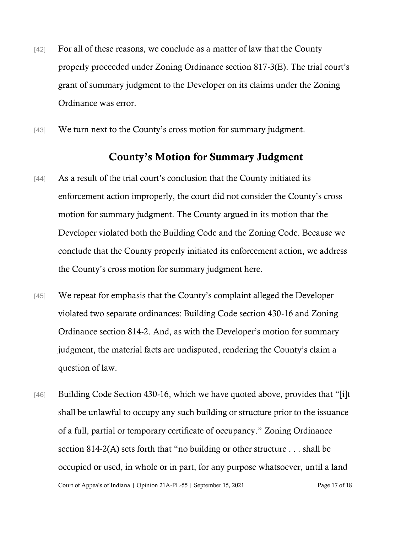- [42] For all of these reasons, we conclude as a matter of law that the County properly proceeded under Zoning Ordinance section 817-3(E). The trial court's grant of summary judgment to the Developer on its claims under the Zoning Ordinance was error.
- [43] We turn next to the County's cross motion for summary judgment.

## County's Motion for Summary Judgment

- [44] As a result of the trial court's conclusion that the County initiated its enforcement action improperly, the court did not consider the County's cross motion for summary judgment. The County argued in its motion that the Developer violated both the Building Code and the Zoning Code. Because we conclude that the County properly initiated its enforcement action, we address the County's cross motion for summary judgment here.
- [45] We repeat for emphasis that the County's complaint alleged the Developer violated two separate ordinances: Building Code section 430-16 and Zoning Ordinance section 814-2. And, as with the Developer's motion for summary judgment, the material facts are undisputed, rendering the County's claim a question of law.
- Court of Appeals of Indiana | Opinion 21A-PL-55 | September 15, 2021 Page 17 of 18 [46] Building Code Section 430-16, which we have quoted above, provides that "[i]t shall be unlawful to occupy any such building or structure prior to the issuance of a full, partial or temporary certificate of occupancy." Zoning Ordinance section 814-2(A) sets forth that "no building or other structure . . . shall be occupied or used, in whole or in part, for any purpose whatsoever, until a land